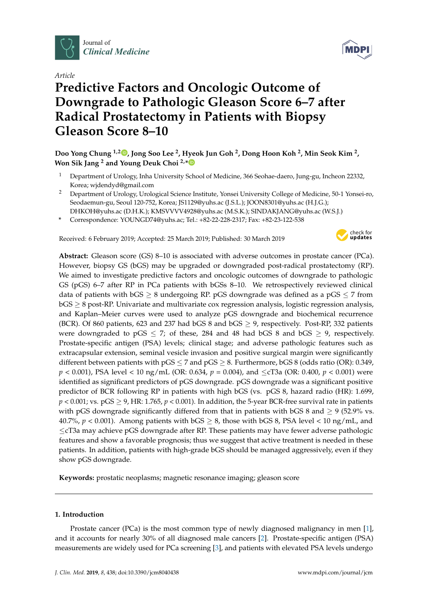

*Article*

# **Predictive Factors and Oncologic Outcome of Downgrade to Pathologic Gleason Score 6–7 after Radical Prostatectomy in Patients with Biopsy Gleason Score 8–10**



- <sup>1</sup> Department of Urology, Inha University School of Medicine, 366 Seohae-daero, Jung-gu, Incheon 22332, Korea; wjdendyd@gmail.com
- <sup>2</sup> Department of Urology, Urological Science Institute, Yonsei University College of Medicine, 50-1 Yonsei-ro, Seodaemun-gu, Seoul 120-752, Korea; JS1129@yuhs.ac (J.S.L.); JOON8301@yuhs.ac (H.J.G.);
- DHKOH@yuhs.ac (D.H.K.); KMSVVVV4928@yuhs.ac (M.S.K.); SINDAKJANG@yuhs.ac (W.S.J.)
- **\*** Correspondence: YOUNGD74@yuhs.ac; Tel.: +82-22-228-2317; Fax: +82-23-122-538

Received: 6 February 2019; Accepted: 25 March 2019; Published: 30 March 2019



**Abstract:** Gleason score (GS) 8–10 is associated with adverse outcomes in prostate cancer (PCa). However, biopsy GS (bGS) may be upgraded or downgraded post-radical prostatectomy (RP). We aimed to investigate predictive factors and oncologic outcomes of downgrade to pathologic GS (pGS) 6–7 after RP in PCa patients with bGSs 8–10. We retrospectively reviewed clinical data of patients with  $bGS \geq 8$  undergoing RP. pGS downgrade was defined as a pGS  $\leq$  7 from bGS ≥ 8 post-RP. Univariate and multivariate cox regression analysis, logistic regression analysis, and Kaplan–Meier curves were used to analyze pGS downgrade and biochemical recurrence (BCR). Of 860 patients, 623 and 237 had bGS 8 and bGS  $\geq$  9, respectively. Post-RP, 332 patients were downgraded to pGS  $\leq$  7; of these, 284 and 48 had bGS 8 and bGS  $\geq$  9, respectively. Prostate-specific antigen (PSA) levels; clinical stage; and adverse pathologic features such as extracapsular extension, seminal vesicle invasion and positive surgical margin were significantly different between patients with  $pGS \le 7$  and  $pGS \ge 8$ . Furthermore, bGS 8 (odds ratio (OR): 0.349, *p* < 0.001), PSA level < 10 ng/mL (OR: 0.634, *p* = 0.004), and ≤cT3a (OR: 0.400, *p* < 0.001) were identified as significant predictors of pGS downgrade. pGS downgrade was a significant positive predictor of BCR following RP in patients with high bGS (vs. pGS 8, hazard radio (HR): 1.699,  $p < 0.001$ ; vs.  $pGS \ge 9$ , HR: 1.765,  $p < 0.001$ ). In addition, the 5-year BCR-free survival rate in patients with pGS downgrade significantly differed from that in patients with bGS 8 and  $\geq$  9 (52.9% vs. 40.7%,  $p < 0.001$ ). Among patients with bGS  $\geq 8$ , those with bGS 8, PSA level  $\lt 10$  ng/mL, and ≤cT3a may achieve pGS downgrade after RP. These patients may have fewer adverse pathologic features and show a favorable prognosis; thus we suggest that active treatment is needed in these patients. In addition, patients with high-grade bGS should be managed aggressively, even if they show pGS downgrade.

**Keywords:** prostatic neoplasms; magnetic resonance imaging; gleason score

# **1. Introduction**

Prostate cancer (PCa) is the most common type of newly diagnosed malignancy in men [\[1\]](#page-8-0), and it accounts for nearly 30% of all diagnosed male cancers [\[2\]](#page-8-1). Prostate-specific antigen (PSA) measurements are widely used for PCa screening [\[3\]](#page-8-2), and patients with elevated PSA levels undergo

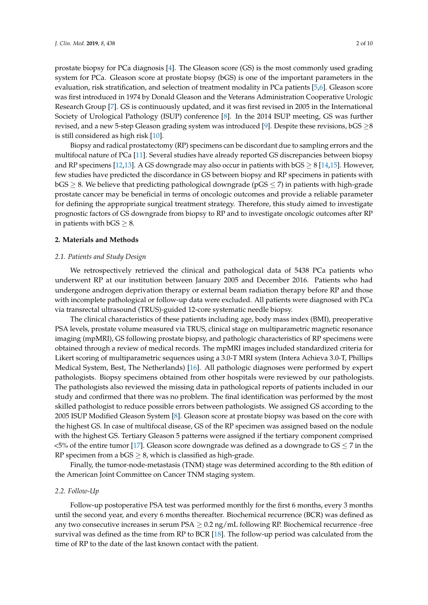prostate biopsy for PCa diagnosis [\[4\]](#page-8-3). The Gleason score (GS) is the most commonly used grading system for PCa. Gleason score at prostate biopsy (bGS) is one of the important parameters in the evaluation, risk stratification, and selection of treatment modality in PCa patients [\[5](#page-8-4)[,6\]](#page-8-5). Gleason score was first introduced in 1974 by Donald Gleason and the Veterans Administration Cooperative Urologic Research Group [\[7\]](#page-8-6). GS is continuously updated, and it was first revised in 2005 in the International Society of Urological Pathology (ISUP) conference [\[8\]](#page-8-7). In the 2014 ISUP meeting, GS was further revised, and a new 5-step Gleason grading system was introduced [\[9\]](#page-8-8). Despite these revisions,  $bGS \geq 8$ is still considered as high risk [\[10\]](#page-8-9).

Biopsy and radical prostatectomy (RP) specimens can be discordant due to sampling errors and the multifocal nature of PCa [\[11\]](#page-8-10). Several studies have already reported GS discrepancies between biopsy and RP specimens [\[12,](#page-8-11)[13\]](#page-8-12). A GS downgrade may also occur in patients with  $bGS \geq 8$  [\[14](#page-8-13)[,15\]](#page-8-14). However, few studies have predicted the discordance in GS between biopsy and RP specimens in patients with  $bGS \geq 8$ . We believe that predicting pathological downgrade ( $pGS \leq 7$ ) in patients with high-grade prostate cancer may be beneficial in terms of oncologic outcomes and provide a reliable parameter for defining the appropriate surgical treatment strategy. Therefore, this study aimed to investigate prognostic factors of GS downgrade from biopsy to RP and to investigate oncologic outcomes after RP in patients with  $bGS \geq 8$ .

# **2. Materials and Methods**

#### *2.1. Patients and Study Design*

We retrospectively retrieved the clinical and pathological data of 5438 PCa patients who underwent RP at our institution between January 2005 and December 2016. Patients who had undergone androgen deprivation therapy or external beam radiation therapy before RP and those with incomplete pathological or follow-up data were excluded. All patients were diagnosed with PCa via transrectal ultrasound (TRUS)-guided 12-core systematic needle biopsy.

The clinical characteristics of these patients including age, body mass index (BMI), preoperative PSA levels, prostate volume measured via TRUS, clinical stage on multiparametric magnetic resonance imaging (mpMRI), GS following prostate biopsy, and pathologic characteristics of RP specimens were obtained through a review of medical records. The mpMRI images included standardized criteria for Likert scoring of multiparametric sequences using a 3.0-T MRI system (Intera Achieva 3.0-T, Phillips Medical System, Best, The Netherlands) [\[16\]](#page-8-15). All pathologic diagnoses were performed by expert pathologists. Biopsy specimens obtained from other hospitals were reviewed by our pathologists. The pathologists also reviewed the missing data in pathological reports of patients included in our study and confirmed that there was no problem. The final identification was performed by the most skilled pathologist to reduce possible errors between pathologists. We assigned GS according to the 2005 ISUP Modified Gleason System [\[8\]](#page-8-7). Gleason score at prostate biopsy was based on the core with the highest GS. In case of multifocal disease, GS of the RP specimen was assigned based on the nodule with the highest GS. Tertiary Gleason 5 patterns were assigned if the tertiary component comprised  $\lt$ 5% of the entire tumor [\[17\]](#page-9-0). Gleason score downgrade was defined as a downgrade to GS  $\leq$  7 in the RP specimen from a  $bGS \geq 8$ , which is classified as high-grade.

Finally, the tumor-node-metastasis (TNM) stage was determined according to the 8th edition of the American Joint Committee on Cancer TNM staging system.

#### *2.2. Follow-Up*

Follow-up postoperative PSA test was performed monthly for the first 6 months, every 3 months until the second year, and every 6 months thereafter. Biochemical recurrence (BCR) was defined as any two consecutive increases in serum PSA  $\geq 0.2$  ng/mL following RP. Biochemical recurrence -free survival was defined as the time from RP to BCR [\[18\]](#page-9-1). The follow-up period was calculated from the time of RP to the date of the last known contact with the patient.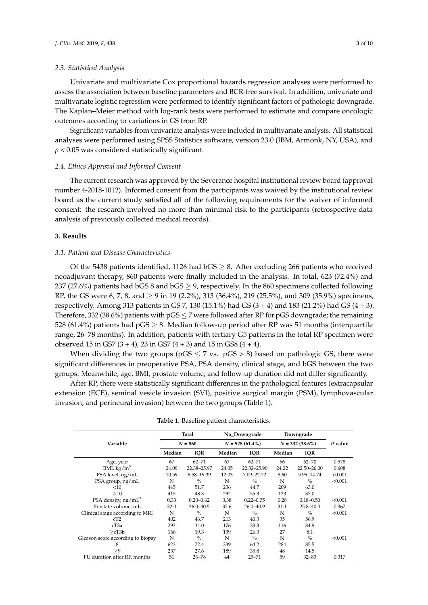#### *2.3. Statistical Analysis*

Univariate and multivariate Cox proportional hazards regression analyses were performed to assess the association between baseline parameters and BCR-free survival. In addition, univariate and multivariate logistic regression were performed to identify significant factors of pathologic downgrade. The Kaplan–Meier method with log-rank tests were performed to estimate and compare oncologic outcomes according to variations in GS from RP.

Significant variables from univariate analysis were included in multivariate analysis. All statistical analyses were performed using SPSS Statistics software, version 23.0 (IBM, Armonk, NY, USA), and *p* < 0.05 was considered statistically significant.

#### *2.4. Ethics Approval and Informed Consent*

The current research was approved by the Severance hospital institutional review board (approval number 4-2018-1012). Informed consent from the participants was waived by the institutional review board as the current study satisfied all of the following requirements for the waiver of informed consent: the research involved no more than minimal risk to the participants (retrospective data analysis of previously collected medical records).

## **3. Results**

#### *3.1. Patient and Disease Characteristics*

Of the 5438 patients identified, 1126 had  $bGS \geq 8$ . After excluding 266 patients who received neoadjuvant therapy, 860 patients were finally included in the analysis. In total, 623 (72.4%) and 237 (27.6%) patients had bGS 8 and bGS  $\geq$  9, respectively. In the 860 specimens collected following RP, the GS were 6, 7, 8, and  $\geq$  9 in 19 (2.2%), 313 (36.4%), 219 (25.5%), and 309 (35.9%) specimens, respectively. Among 313 patients in GS 7, 130 (15.1%) had GS (3 + 4) and 183 (21.2%) had GS (4 + 3). Therefore, 332 (38.6%) patients with  $pGS \le 7$  were followed after RP for pGS downgrade; the remaining 528 (61.4%) patients had  $pGS \geq 8$ . Median follow-up period after RP was 51 months (interquartile range, 26–78 months). In addition, patients with tertiary G5 patterns in the total RP specimen were observed 15 in GS7  $(3 + 4)$ , 23 in GS7  $(4 + 3)$  and 15 in GS8  $(4 + 4)$ .

When dividing the two groups ( $pGS \le 7$  vs.  $pGS > 8$ ) based on pathologic GS, there were significant differences in preoperative PSA, PSA density, clinical stage, and bGS between the two groups. Meanwhile, age, BMI, prostate volume, and follow-up duration did not differ significantly.

After RP, there were statistically significant differences in the pathological features (extracapsular extension (ECE), seminal vesicle invasion (SVI), positive surgical margin (PSM), lymphovascular invasion, and perineural invasion) between the two groups (Table [1\)](#page-3-0).

|                                   | Total<br>$N = 860$ |               | No_Downgrade<br>$N = 528(61.4\%)$ |               | Downgrade<br>$N = 332 (38.6\%)$ |               | P value |
|-----------------------------------|--------------------|---------------|-----------------------------------|---------------|---------------------------------|---------------|---------|
|                                   |                    |               |                                   |               |                                 |               |         |
| Variable                          |                    |               |                                   |               |                                 |               |         |
|                                   | Median             | <b>IQR</b>    | Median                            | <b>IQR</b>    | Median                          | <b>IQR</b>    |         |
| Age, year                         | 67                 | $62 - 71$     | 67                                | $62 - 71$     | 66                              | $62 - 70$     | 0.578   |
| BMI, $\text{kg}/\text{m}^2$       | 24.09              | 22.38-25.97   | 24.05                             | 22.32-25.90   | 24.22                           | 22.50-26.00   | 0.608   |
| PSA level, ng/mL                  | 10.59              | 6.58-19.39    | 12.03                             | 7.09-22.72    | 8.60                            | 5.99-14.74    | < 0.001 |
| PSA group, ng/mL                  | N                  | $\%$          | N                                 | $\frac{0}{0}$ | N                               | $\%$          | < 0.001 |
| <10                               | 445                | 51.7          | 236                               | 44.7          | 209                             | 63.0          |         |
| >10                               | 415                | 48.3          | 292                               | 55.3          | 123                             | 37.0          |         |
| PSA density, ng/mL <sup>2</sup>   | 0.33               | $0.20 - 0.62$ | 0.38                              | $0.22 - 0.75$ | 0.28                            | $0.18 - 0.50$ | < 0.001 |
| Prostate volume, mL               | 32.0               | $26.0 - 40.5$ | 32.6                              | $26.0 - 40.9$ | 31.1                            | $25.8 - 40.0$ | 0.367   |
| Clinical stage according to MRI   | N                  | $\%$          | N                                 | $\%$          | N                               | $\%$          | < 0.001 |
| cT2                               | 402                | 46.7          | 213                               | 40.3          | 35                              | 56.9          |         |
| cT <sub>3</sub> a                 | 292                | 34.0          | 176                               | 33.3          | 116                             | 34.9          |         |
| >cT3b                             | 166                | 19.3          | 139                               | 26.3          | 27                              | 8.1           |         |
| Gleason score according to Biopsy | N                  | $\frac{O}{O}$ | N                                 | $\frac{O}{O}$ | N                               | $\%$          | < 0.001 |
| 8                                 | 623                | 72.4          | 339                               | 64.2          | 284                             | 85.5          |         |
| >9                                | 237                | 27.6          | 189                               | 35.8          | 48                              | 14.5          |         |
| FU duration after RP, months      | 51                 | $26 - 78$     | 44                                | $25 - 71$     | 59                              | $32 - 83$     | 0.317   |

| <b>Table 1.</b> Baseline patient characteristics. |  |  |  |  |
|---------------------------------------------------|--|--|--|--|
|---------------------------------------------------|--|--|--|--|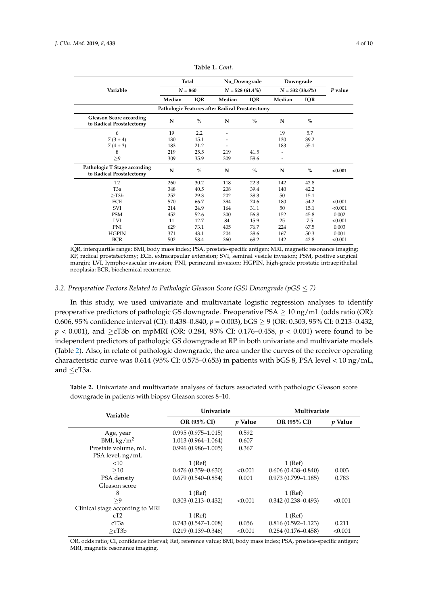<span id="page-3-0"></span>

|                                                            | Total     |               | No_Downgrade |                   | Downgrade |                    |         |  |
|------------------------------------------------------------|-----------|---------------|--------------|-------------------|-----------|--------------------|---------|--|
| Variable                                                   | $N = 860$ |               |              | $N = 528(61.4\%)$ |           | $N = 332 (38.6\%)$ |         |  |
|                                                            | Median    | <b>IQR</b>    | Median       | <b>IQR</b>        | Median    | <b>IQR</b>         |         |  |
| Pathologic Features after Radical Prostatectomy            |           |               |              |                   |           |                    |         |  |
| <b>Gleason Score according</b><br>to Radical Prostatectomy | N         | $\frac{0}{0}$ | N            | $\frac{0}{0}$     | N         | $\frac{0}{0}$      |         |  |
| 6                                                          | 19        | 2.2           |              |                   | 19        | 5.7                |         |  |
| $7(3 + 4)$                                                 | 130       | 15.1          |              |                   | 130       | 39.2               |         |  |
| $7(4+3)$                                                   | 183       | 21.2          |              |                   | 183       | 55.1               |         |  |
| 8                                                          | 219       | 25.5          | 219          | 41.5              |           |                    |         |  |
| >9                                                         | 309       | 35.9          | 309          | 58.6              | ٠         |                    |         |  |
| Pathologic T Stage according<br>to Radical Prostatectomy   | N         | $\frac{0}{0}$ | N            | $\frac{0}{0}$     | N         | $\%$               | < 0.001 |  |
| T <sub>2</sub>                                             | 260       | 30.2          | 118          | 22.3              | 142       | 42.8               |         |  |
| T <sub>3</sub> a                                           | 348       | 40.5          | 208          | 39.4              | 140       | 42.2               |         |  |
| $>$ T3b                                                    | 252       | 29.3          | 202          | 38.3              | 50        | 15.1               |         |  |
| <b>ECE</b>                                                 | 570       | 66.7          | 394          | 74.6              | 180       | 54.2               | < 0.001 |  |
| SVI                                                        | 214       | 24.9          | 164          | 31.1              | 50        | 15.1               | < 0.001 |  |
| <b>PSM</b>                                                 | 452       | 52.6          | 300          | 56.8              | 152       | 45.8               | 0.002   |  |
| LVI                                                        | 11        | 12.7          | 84           | 15.9              | 25        | 7.5                | < 0.001 |  |
| PNI                                                        | 629       | 73.1          | 405          | 76.7              | 224       | 67.5               | 0.003   |  |
| <b>HGPIN</b>                                               | 371       | 43.1          | 204          | 38.6              | 167       | 50.3               | 0.001   |  |
| <b>BCR</b>                                                 | 502       | 58.4          | 360          | 68.2              | 142       | 42.8               | < 0.001 |  |

**Table 1.** *Cont.*

IQR, interquartile range; BMI, body mass index; PSA, prostate-specific antigen; MRI, magnetic resonance imaging; RP, radical prostatectomy; ECE, extracapsular extension; SVI, seminal vesicle invasion; PSM, positive surgical margin; LVI, lymphovascular invasion; PNI, perineural invasion; HGPIN, high-grade prostatic intraepithelial neoplasia; BCR, biochemical recurrence.

# *3.2. Preoperative Factors Related to Pathologic Gleason Score (GS) Downgrade (pGS* ≤ *7)*

In this study, we used univariate and multivariate logistic regression analyses to identify preoperative predictors of pathologic GS downgrade. Preoperative PSA  $> 10$  ng/mL (odds ratio (OR): 0.606, 95% confidence interval (CI): 0.438–0.840, *p* = 0.003), bGS ≥ 9 (OR: 0.303, 95% CI: 0.213–0.432, *p* < 0.001), and ≥cT3b on mpMRI (OR: 0.284, 95% CI: 0.176–0.458, *p* < 0.001) were found to be independent predictors of pathologic GS downgrade at RP in both univariate and multivariate models (Table [2\)](#page-3-1). Also, in relate of pathologic downgrade, the area under the curves of the receiver operating characteristic curve was 0.614 (95% CI: 0.575–0.653) in patients with bGS 8, PSA level < 10 ng/mL, and ≤cT3a.

<span id="page-3-1"></span>

| <b>Table 2.</b> Univariate and multivariate analyses of factors associated with pathologic Gleason score |  |  |  |  |  |
|----------------------------------------------------------------------------------------------------------|--|--|--|--|--|
| downgrade in patients with biopsy Gleason scores 8–10.                                                   |  |  |  |  |  |

| Variable                        | Univariate             |                | Multivariate           |                |  |
|---------------------------------|------------------------|----------------|------------------------|----------------|--|
|                                 | <b>OR (95% CI)</b>     | <i>p</i> Value | OR (95% CI)            | <i>p</i> Value |  |
| Age, year                       | $0.995(0.975 - 1.015)$ | 0.592          |                        |                |  |
| BMI, $\text{kg}/\text{m}^2$     | $1.013(0.964 - 1.064)$ | 0.607          |                        |                |  |
| Prostate volume, mL             | $0.996(0.986 - 1.005)$ | 0.367          |                        |                |  |
| PSA level, ng/mL                |                        |                |                        |                |  |
| <10                             | $1$ (Ref)              |                | $1$ (Ref)              |                |  |
| >10                             | $0.476(0.359 - 0.630)$ | < 0.001        | $0.606(0.438 - 0.840)$ | 0.003          |  |
| PSA density                     | $0.679(0.540 - 0.854)$ | 0.001          | $0.973(0.799 - 1.185)$ | 0.783          |  |
| Gleason score                   |                        |                |                        |                |  |
| 8                               | $1$ (Ref)              |                | $1$ (Ref)              |                |  |
| >9                              | $0.303(0.213 - 0.432)$ | < 0.001        | $0.342(0.238 - 0.493)$ | < 0.001        |  |
| Clinical stage according to MRI |                        |                |                        |                |  |
| cT2                             | $1$ (Ref)              |                | $1$ (Ref)              |                |  |
| сТЗа                            | $0.743(0.547-1.008)$   | 0.056          | $0.816(0.592 - 1.123)$ | 0.211          |  |
| >cT3b                           | $0.219(0.139 - 0.346)$ | < 0.001        | $0.284(0.176 - 0.458)$ | < 0.001        |  |

OR, odds ratio; CI, confidence interval; Ref, reference value; BMI, body mass index; PSA, prostate-specific antigen; MRI, magnetic resonance imaging.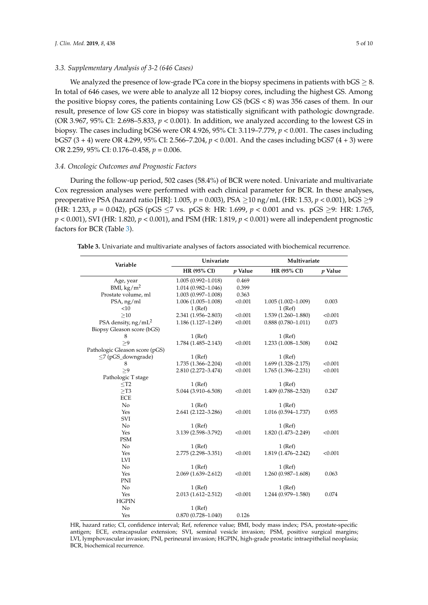# *3.3. Supplementary Analysis of 3-2 (646 Cases)*

We analyzed the presence of low-grade PCa core in the biopsy specimens in patients with  $bGS \geq 8$ . In total of 646 cases, we were able to analyze all 12 biopsy cores, including the highest GS. Among the positive biopsy cores, the patients containing Low GS (bGS < 8) was 356 cases of them. In our result, presence of low GS core in biopsy was statistically significant with pathologic downgrade. (OR 3.967, 95% Cl: 2.698–5.833,  $p < 0.001$ ). In addition, we analyzed according to the lowest GS in biopsy. The cases including bGS6 were OR 4.926, 95% CI: 3.119–7.779, *p* < 0.001. The cases including bGS7 (3 + 4) were OR 4.299, 95% CI: 2.566–7.204, *p* < 0.001. And the cases including bGS7 (4 + 3) were OR 2.259, 95% CI: 0.176–0.458, *p* = 0.006.

#### *3.4. Oncologic Outcomes and Prognostic Factors*

During the follow-up period, 502 cases (58.4%) of BCR were noted. Univariate and multivariate Cox regression analyses were performed with each clinical parameter for BCR. In these analyses, preoperative PSA (hazard ratio [HR]: 1.005, *p* = 0.003), PSA ≥10 ng/mL (HR: 1.53, *p* < 0.001), bGS ≥9 (HR: 1.233,  $p = 0.042$ ), pGS (pGS  $\leq$ 7 vs. pGS 8: HR: 1.699,  $p < 0.001$  and vs. pGS  $\geq$ 9: HR: 1.765, *p* < 0.001), SVI (HR: 1.820, *p* < 0.001), and PSM (HR: 1.819, *p* < 0.001) were all independent prognostic factors for BCR (Table [3\)](#page-4-0).

<span id="page-4-0"></span>**Table 3.** Univariate and multivariate analyses of factors associated with biochemical recurrence.

| Variable                       | Univariate             |           | Multivariate           |           |  |
|--------------------------------|------------------------|-----------|------------------------|-----------|--|
|                                | HR (95% CI)            | $p$ Value | HR (95% CI)            | $p$ Value |  |
| Age, year                      | $1.005(0.992 - 1.018)$ | 0.469     |                        |           |  |
| BMI, $\text{kg/m}^2$           | $1.014(0.982 - 1.046)$ | 0.399     |                        |           |  |
| Prostate volume, ml            | $1.003(0.997-1.008)$   | 0.363     |                        |           |  |
| PSA, ng/ml                     | $1.006(1.005 - 1.008)$ | < 0.001   | $1.005(1.002 - 1.009)$ | 0.003     |  |
| <10                            | $1$ (Ref)              |           | $1$ (Ref)              |           |  |
| $\geq10$                       | 2.341 (1.956-2.803)    | < 0.001   | 1.539 (1.260-1.880)    | < 0.001   |  |
| PSA density, $ng/mL^2$         | 1.186 (1.127-1.249)    | < 0.001   | $0.888(0.780 - 1.011)$ | 0.073     |  |
| Biopsy Gleason score (bGS)     |                        |           |                        |           |  |
| 8                              | $1$ (Ref)              |           | $1$ (Ref)              |           |  |
| >9                             | 1.784 (1.485-2.143)    | < 0.001   | 1.233 (1.008-1.508)    | 0.042     |  |
| Pathologic Gleason score (pGS) |                        |           |                        |           |  |
| $\leq$ 7 (pGS_downgrade)       | $1$ (Ref)              |           | $1$ (Ref)              |           |  |
| 8                              | 1.735 (1.366-2.204)    | < 0.001   | 1.699 (1.328-2.175)    | < 0.001   |  |
| >9                             | 2.810 (2.272-3.474)    | < 0.001   | $1.765(1.396 - 2.231)$ | < 0.001   |  |
| Pathologic T stage             |                        |           |                        |           |  |
| $<$ T2                         | $1$ (Ref)              |           | $1$ (Ref)              |           |  |
| $>$ T3                         | 5.044 (3.910-6.508)    | < 0.001   | 1.409 (0.788-2.520)    | 0.247     |  |
| <b>ECE</b>                     |                        |           |                        |           |  |
| No                             | $1$ (Ref)              |           | $1$ (Ref)              |           |  |
| Yes                            | 2.641 (2.122-3.286)    | < 0.001   | $1.016(0.594 - 1.737)$ | 0.955     |  |
| SVI                            |                        |           |                        |           |  |
| No                             | $1$ (Ref)              |           | $1$ (Ref)              |           |  |
| Yes                            | 3.139 (2.598-3.792)    | < 0.001   | 1.820 (1.473-2.249)    | < 0.001   |  |
| <b>PSM</b>                     |                        |           |                        |           |  |
| $\rm No$                       | $1$ (Ref)              |           | $1$ (Ref)              |           |  |
| Yes                            | 2.775 (2.298-3.351)    | < 0.001   | 1.819 (1.476-2.242)    | < 0.001   |  |
| LVI                            |                        |           |                        |           |  |
| No                             | $1$ (Ref)              |           | $1$ (Ref)              |           |  |
| Yes                            | $2.069(1.639 - 2.612)$ | < 0.001   | $1.260(0.987-1.608)$   | 0.063     |  |
| <b>PNI</b>                     |                        |           |                        |           |  |
| No                             | $1$ (Ref)              |           | $1$ (Ref)              |           |  |
| Yes                            | 2.013 (1.612-2.512)    | < 0.001   | 1.244 (0.979-1.580)    | 0.074     |  |
| <b>HGPIN</b>                   |                        |           |                        |           |  |
| No                             | $1$ (Ref)              |           |                        |           |  |
| Yes                            | $0.870(0.728 - 1.040)$ | 0.126     |                        |           |  |

HR, hazard ratio; CI, confidence interval; Ref, reference value; BMI, body mass index; PSA, prostate-specific antigen; ECE, extracapsular extension; SVI, seminal vesicle invasion; PSM, positive surgical margins; LVI, lymphovascular invasion; PNI, perineural invasion; HGPIN, high-grade prostatic intraepithelial neoplasia; BCR, biochemical recurrence.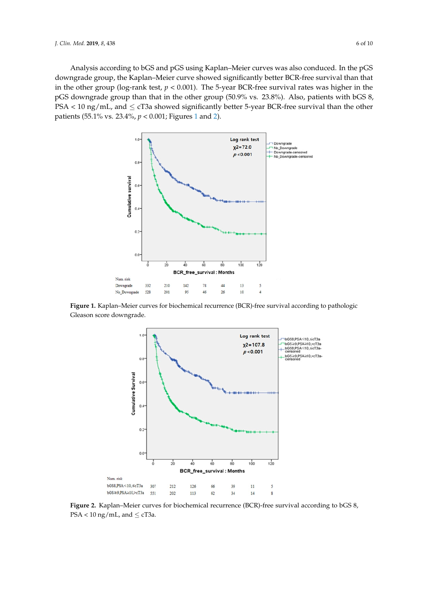Analysis according to bGS and pGS using Kaplan–Meier curves was also conduced. In the pGS Analysis according to bGS and pGS using Kaplan–Meier curves was also conduced. In the pGS downgrade group, the Kaplan–Meier curve showed significantly better BCR-free survival than that downgrade group, the Kaplan–Meier curve showed significantly better BCR-free survival than that in the other group (log-rank test,  $p < 0.001$ ). The 5-year BCR-free survival rates was higher in the pGS downgrade group than that in the other group (50.9% vs. 23.8%). Also, patients with bGS 8, PSA < 10 ng/mL, and  $\leq$  cT3a showed significantly better 5-year BCR-free survival than the other patients (55.1% vs. 23.4%, *p* < 0.001; Figures [1](#page-5-0) and [2\)](#page-5-1). vs. 23.4%, *p* < 0.001; Figures 1 and 2). Analysis according to bGS and pGS using  $\frac{1}{2}$  and  $\frac{1}{2}$  conductives was also conducted. In the pGS down group, the Kaplan–Meier curve showed significantly better showed significantly better BCR-free survival than the process domigrade group, are rapidly trees on  $\frac{1}{2}$  and  $\frac{1}{2}$  and  $\frac{1}{2}$  and  $\frac{1}{2}$  are pGSS.  $\frac{d}{d\theta}$  and other group (tog rain test,  $p \sim 0.001$ ). The original that  $\frac{d}{d\theta}$  such that  $\frac{d}{d\theta}$  and  $\frac{d}{d\theta}$ post complete group man mat in the other group (55.7% rs. 25.00). This patients with 5-3.

<span id="page-5-0"></span>

<span id="page-5-1"></span>Figure 1. Kaplan-Meier curves for biochemical recurrence (BCR)-free survival according to pathologic Gleason score downgrade.



 $F3A \le 10 \text{ kg/HL}$ , and  $\le C13a$ .  $\text{PSA}$  < 10 ng/mL, and  $\leq$  cT3a. **Figure 2.** Kaplan–Meier curves for biochemical recurrence (BCR)-free survival according to bGS 8,

 $\mathcal{L}$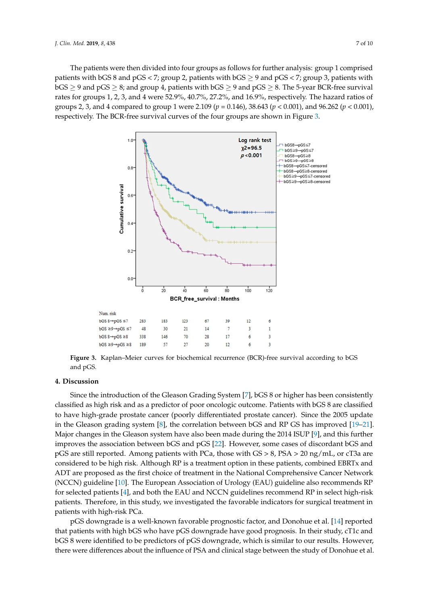The patients were then divided into four groups as follows for further analysis: group 1 comprised The patients were then divided into four groups as follows for further analysis: group 1 comprised<br>patients with bGS 8 and pGS < 7; group 2, patients with bGS  $\geq$  9 and pGS < 7; group 3, patients with bGS  $\geq$  9 and pGS  $\geq$  8; and group 4, patients with bGS  $\geq$  9 and pGS  $\geq$  8. The 5-year BCR-free survival rates for groups 1, 2, 3, and 4 were 52.9%, 40.7%, 27.2%, and 16.9%, respectively. The hazard ratios of rates for groups 1, 2, 3, and 4 were 52.9%, 40.7%, 27.2%, and 16.9%, respectively. The hazard ratios of<br>groups 2, 3, and 4 compared to group 1 were 2.109 (p = 0.146), 38.643 (p < 0.001), and 96.262 (p < 0.001), respectively. The BCR-free survival curves of the four groups are [sh](#page-6-0)own in Figure 3.

<span id="page-6-0"></span>

**Figure 3.** Kaplan–Meier curves for biochemical recurrence (BCR)-free survival according to bGS pGS. and pGS.

# **4. Discussion**

**4. Discussion**  classified as high risk and as a predictor of poor oncologic outcome. Patients with bGS 8 are classified to have high-grade prostate cancer (poorly differentiated prostate cancer). Since the 2005 update in the Gleason grading system [\[8\]](#page-8-7), the correlation between bGS and RP GS has improved [\[19–](#page-9-2)[21\]](#page-9-3). Major changes in the Gleason system have also been made during the 2014 ISUP [\[9\]](#page-8-8), and this further improves the association between bGS and pGS [\[22\]](#page-9-4). However, some cases of discordant bGS and pGS are still reported. Among patients with PCa, those with GS > 8, PSA > 20 ng/mL, or cT3a are considered to be high risk. Although RP is a treatment option in these patients, combined EBRTx and ADT are proposed as the first choice of treatment in the National Comprehensive Cancer Network (NCCN) guideline [\[10\]](#page-8-9). The European Association of Urology (EAU) guideline also recommends RP for selected patients [\[4\]](#page-8-3), and both the EAU and NCCN guidelines recommend RP in select high-risk patients. Therefore, in this study, we investigated the favorable indicators for surgical treatment in patients with high-risk PCa. Therefore, we indicate in this study, we include the favorable indicators for surf Since the introduction of the Gleason Grading System [\[7\]](#page-8-6), bGS 8 or higher has been consistently

pGS downgrade is a well-known favorable prognostic factor, and Donohue et al. [\[14\]](#page-8-13) reported that patients with high bGS who have pGS downgrade have good prognosis. In their study, cT1c and bGS 8 were identified to be predictors of pGS downgrade, which is similar to our results. However, there were differences about the influence of PSA and clinical stage between the study of Donohue et al.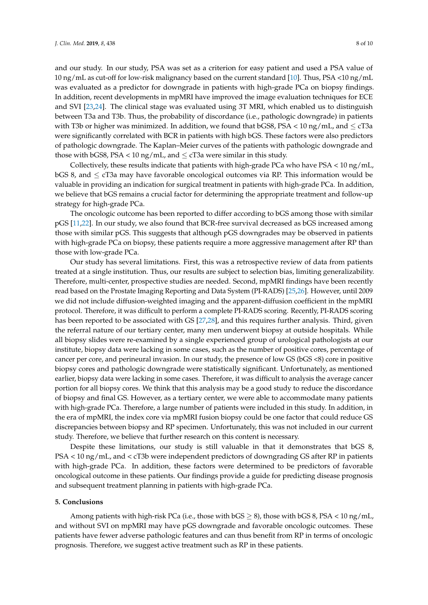and our study. In our study, PSA was set as a criterion for easy patient and used a PSA value of 10 ng/mL as cut-off for low-risk malignancy based on the current standard [\[10\]](#page-8-9). Thus, PSA <10 ng/mL was evaluated as a predictor for downgrade in patients with high-grade PCa on biopsy findings. In addition, recent developments in mpMRI have improved the image evaluation techniques for ECE and SVI [\[23,](#page-9-5)[24\]](#page-9-6). The clinical stage was evaluated using 3T MRI, which enabled us to distinguish between T3a and T3b. Thus, the probability of discordance (i.e., pathologic downgrade) in patients with T3b or higher was minimized. In addition, we found that bGS8, PSA  $<$  10 ng/mL, and  $\leq$  cT3a were significantly correlated with BCR in patients with high bGS. These factors were also predictors of pathologic downgrade. The Kaplan–Meier curves of the patients with pathologic downgrade and those with bGS8, PSA < 10 ng/mL, and  $\leq$  cT3a were similar in this study.

Collectively, these results indicate that patients with high-grade PCa who have PSA < 10 ng/mL, bGS 8, and  $\leq$  cT3a may have favorable oncological outcomes via RP. This information would be valuable in providing an indication for surgical treatment in patients with high-grade PCa. In addition, we believe that bGS remains a crucial factor for determining the appropriate treatment and follow-up strategy for high-grade PCa.

The oncologic outcome has been reported to differ according to bGS among those with similar pGS [\[11](#page-8-10)[,22\]](#page-9-4). In our study, we also found that BCR-free survival decreased as bGS increased among those with similar pGS. This suggests that although pGS downgrades may be observed in patients with high-grade PCa on biopsy, these patients require a more aggressive management after RP than those with low-grade PCa.

Our study has several limitations. First, this was a retrospective review of data from patients treated at a single institution. Thus, our results are subject to selection bias, limiting generalizability. Therefore, multi-center, prospective studies are needed. Second, mpMRI findings have been recently read based on the Prostate Imaging Reporting and Data System (PI-RADS) [\[25,](#page-9-7)[26\]](#page-9-8). However, until 2009 we did not include diffusion-weighted imaging and the apparent-diffusion coefficient in the mpMRI protocol. Therefore, it was difficult to perform a complete PI-RADS scoring. Recently, PI-RADS scoring has been reported to be associated with GS [\[27](#page-9-9)[,28\]](#page-9-10), and this requires further analysis. Third, given the referral nature of our tertiary center, many men underwent biopsy at outside hospitals. While all biopsy slides were re-examined by a single experienced group of urological pathologists at our institute, biopsy data were lacking in some cases, such as the number of positive cores, percentage of cancer per core, and perineural invasion. In our study, the presence of low GS (bGS <8) core in positive biopsy cores and pathologic downgrade were statistically significant. Unfortunately, as mentioned earlier, biopsy data were lacking in some cases. Therefore, it was difficult to analysis the average cancer portion for all biopsy cores. We think that this analysis may be a good study to reduce the discordance of biopsy and final GS. However, as a tertiary center, we were able to accommodate many patients with high-grade PCa. Therefore, a large number of patients were included in this study. In addition, in the era of mpMRI, the index core via mpMRI fusion biopsy could be one factor that could reduce GS discrepancies between biopsy and RP specimen. Unfortunately, this was not included in our current study. Therefore, we believe that further research on this content is necessary.

Despite these limitations, our study is still valuable in that it demonstrates that bGS 8, PSA < 10 ng/mL, and < cT3b were independent predictors of downgrading GS after RP in patients with high-grade PCa. In addition, these factors were determined to be predictors of favorable oncological outcome in these patients. Our findings provide a guide for predicting disease prognosis and subsequent treatment planning in patients with high-grade PCa.

#### **5. Conclusions**

Among patients with high-risk PCa (i.e., those with  $bGS > 8$ ), those with  $bGS 8$ , PSA < 10 ng/mL, and without SVI on mpMRI may have pGS downgrade and favorable oncologic outcomes. These patients have fewer adverse pathologic features and can thus benefit from RP in terms of oncologic prognosis. Therefore, we suggest active treatment such as RP in these patients.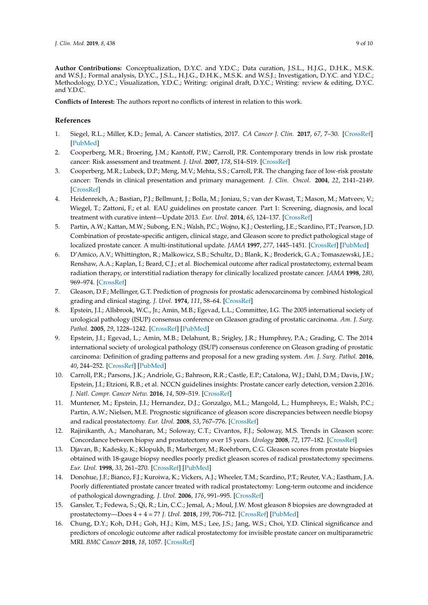**Author Contributions:** Conceptualization, D.Y.C. and Y.D.C.; Data curation, J.S.L., H.J.G., D.H.K., M.S.K. and W.S.J.; Formal analysis, D.Y.C., J.S.L., H.J.G., D.H.K., M.S.K. and W.S.J.; Investigation, D.Y.C. and Y.D.C.; Methodology, D.Y.C.; Visualization, Y.D.C.; Writing: original draft, D.Y.C.; Writing: review & editing, D.Y.C. and Y.D.C.

**Conflicts of Interest:** The authors report no conflicts of interest in relation to this work.

# **References**

- <span id="page-8-0"></span>1. Siegel, R.L.; Miller, K.D.; Jemal, A. Cancer statistics, 2017. *CA Cancer J. Clin.* **2017**, *67*, 7–30. [\[CrossRef\]](http://dx.doi.org/10.3322/caac.21387) [\[PubMed\]](http://www.ncbi.nlm.nih.gov/pubmed/28055103)
- <span id="page-8-1"></span>2. Cooperberg, M.R.; Broering, J.M.; Kantoff, P.W.; Carroll, P.R. Contemporary trends in low risk prostate cancer: Risk assessment and treatment. *J. Urol.* **2007**, *178*, S14–S19. [\[CrossRef\]](http://dx.doi.org/10.1016/j.juro.2007.03.135)
- <span id="page-8-2"></span>3. Cooperberg, M.R.; Lubeck, D.P.; Meng, M.V.; Mehta, S.S.; Carroll, P.R. The changing face of low-risk prostate cancer: Trends in clinical presentation and primary management. *J. Clin. Oncol.* **2004**, *22*, 2141–2149. [\[CrossRef\]](http://dx.doi.org/10.1200/JCO.2004.10.062)
- <span id="page-8-3"></span>4. Heidenreich, A.; Bastian, P.J.; Bellmunt, J.; Bolla, M.; Joniau, S.; van der Kwast, T.; Mason, M.; Matveev, V.; Wiegel, T.; Zattoni, F.; et al. EAU guidelines on prostate cancer. Part 1: Screening, diagnosis, and local treatment with curative intent—Update 2013. *Eur. Urol.* **2014**, *65*, 124–137. [\[CrossRef\]](http://dx.doi.org/10.1016/j.eururo.2013.09.046)
- <span id="page-8-4"></span>5. Partin, A.W.; Kattan, M.W.; Subong, E.N.; Walsh, P.C.; Wojno, K.J.; Oesterling, J.E.; Scardino, P.T.; Pearson, J.D. Combination of prostate-specific antigen, clinical stage, and Gleason score to predict pathological stage of localized prostate cancer. A multi-institutional update. *JAMA* **1997**, *277*, 1445–1451. [\[CrossRef\]](http://dx.doi.org/10.1001/jama.1997.03540420041027) [\[PubMed\]](http://www.ncbi.nlm.nih.gov/pubmed/9145716)
- <span id="page-8-5"></span>6. D'Amico, A.V.; Whittington, R.; Malkowicz, S.B.; Schultz, D.; Blank, K.; Broderick, G.A.; Tomaszewski, J.E.; Renshaw, A.A.; Kaplan, I.; Beard, C.J.; et al. Biochemical outcome after radical prostatectomy, external beam radiation therapy, or interstitial radiation therapy for clinically localized prostate cancer. *JAMA* **1998**, *280*, 969–974. [\[CrossRef\]](http://dx.doi.org/10.1001/jama.280.11.969)
- <span id="page-8-6"></span>7. Gleason, D.F.; Mellinger, G.T. Prediction of prognosis for prostatic adenocarcinoma by combined histological grading and clinical staging. *J. Urol.* **1974**, *111*, 58–64. [\[CrossRef\]](http://dx.doi.org/10.1016/S0022-5347(17)59889-4)
- <span id="page-8-7"></span>8. Epstein, J.I.; Allsbrook, W.C., Jr.; Amin, M.B.; Egevad, L.L.; Committee, I.G. The 2005 international society of urological pathology (ISUP) consensus conference on Gleason grading of prostatic carcinoma. *Am. J. Surg. Pathol.* **2005**, *29*, 1228–1242. [\[CrossRef\]](http://dx.doi.org/10.1097/01.pas.0000173646.99337.b1) [\[PubMed\]](http://www.ncbi.nlm.nih.gov/pubmed/16096414)
- <span id="page-8-8"></span>9. Epstein, J.I.; Egevad, L.; Amin, M.B.; Delahunt, B.; Srigley, J.R.; Humphrey, P.A.; Grading, C. The 2014 international society of urological pathology (ISUP) consensus conference on Gleason grading of prostatic carcinoma: Definition of grading patterns and proposal for a new grading system. *Am. J. Surg. Pathol.* **2016**, *40*, 244–252. [\[CrossRef\]](http://dx.doi.org/10.1097/PAS.0000000000000530) [\[PubMed\]](http://www.ncbi.nlm.nih.gov/pubmed/26492179)
- <span id="page-8-9"></span>10. Carroll, P.R.; Parsons, J.K.; Andriole, G.; Bahnson, R.R.; Castle, E.P.; Catalona, W.J.; Dahl, D.M.; Davis, J.W.; Epstein, J.I.; Etzioni, R.B.; et al. NCCN guidelines insights: Prostate cancer early detection, version 2.2016. *J. Natl. Compr. Cancer Netw.* **2016**, *14*, 509–519. [\[CrossRef\]](http://dx.doi.org/10.6004/jnccn.2016.0060)
- <span id="page-8-10"></span>11. Muntener, M.; Epstein, J.I.; Hernandez, D.J.; Gonzalgo, M.L.; Mangold, L.; Humphreys, E.; Walsh, P.C.; Partin, A.W.; Nielsen, M.E. Prognostic significance of gleason score discrepancies between needle biopsy and radical prostatectomy. *Eur. Urol.* **2008**, *53*, 767–776. [\[CrossRef\]](http://dx.doi.org/10.1016/j.eururo.2007.11.016)
- <span id="page-8-11"></span>12. Rajinikanth, A.; Manoharan, M.; Soloway, C.T.; Civantos, F.J.; Soloway, M.S. Trends in Gleason score: Concordance between biopsy and prostatectomy over 15 years. *Urology* **2008**, *72*, 177–182. [\[CrossRef\]](http://dx.doi.org/10.1016/j.urology.2007.10.022)
- <span id="page-8-12"></span>13. Djavan, B.; Kadesky, K.; Klopukh, B.; Marberger, M.; Roehrborn, C.G. Gleason scores from prostate biopsies obtained with 18-gauge biopsy needles poorly predict gleason scores of radical prostatectomy specimens. *Eur. Urol.* **1998**, *33*, 261–270. [\[CrossRef\]](http://dx.doi.org/10.1159/000019578) [\[PubMed\]](http://www.ncbi.nlm.nih.gov/pubmed/9555550)
- <span id="page-8-13"></span>14. Donohue, J.F.; Bianco, F.J.; Kuroiwa, K.; Vickers, A.J.; Wheeler, T.M.; Scardino, P.T.; Reuter, V.A.; Eastham, J.A. Poorly differentiated prostate cancer treated with radical prostatectomy: Long-term outcome and incidence of pathological downgrading. *J. Urol.* **2006**, *176*, 991–995. [\[CrossRef\]](http://dx.doi.org/10.1016/j.juro.2006.04.048)
- <span id="page-8-14"></span>15. Gansler, T.; Fedewa, S.; Qi, R.; Lin, C.C.; Jemal, A.; Moul, J.W. Most gleason 8 biopsies are downgraded at prostatectomy—Does 4 + 4 = 7? *J. Urol.* **2018**, *199*, 706–712. [\[CrossRef\]](http://dx.doi.org/10.1016/j.juro.2017.10.014) [\[PubMed\]](http://www.ncbi.nlm.nih.gov/pubmed/29032296)
- <span id="page-8-15"></span>16. Chung, D.Y.; Koh, D.H.; Goh, H.J.; Kim, M.S.; Lee, J.S.; Jang, W.S.; Choi, Y.D. Clinical significance and predictors of oncologic outcome after radical prostatectomy for invisible prostate cancer on multiparametric MRI. *BMC Cancer* **2018**, *18*, 1057. [\[CrossRef\]](http://dx.doi.org/10.1186/s12885-018-4955-8)